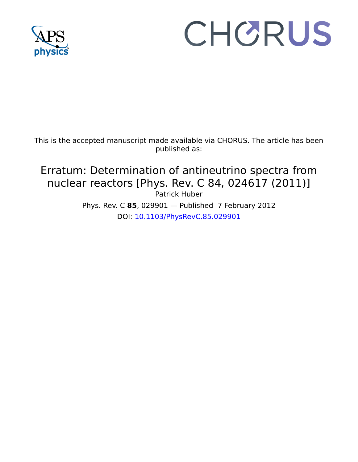

## CHORUS

This is the accepted manuscript made available via CHORUS. The article has been published as:

## Erratum: Determination of antineutrino spectra from nuclear reactors [Phys. Rev. C 84, 024617 (2011)] Patrick Huber

Phys. Rev. C **85**, 029901 — Published 7 February 2012 DOI: [10.1103/PhysRevC.85.029901](http://dx.doi.org/10.1103/PhysRevC.85.029901)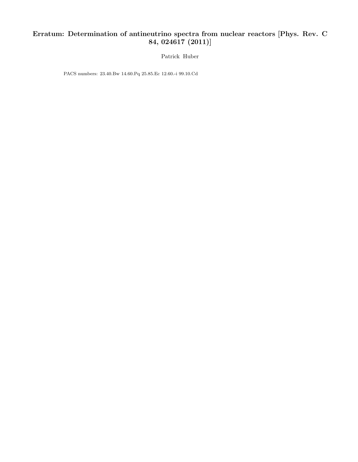## Erratum: Determination of antineutrino spectra from nuclear reactors [Phys. Rev. C 84, 024617 (2011)]

Patrick Huber

PACS numbers: 23.40.Bw 14.60.Pq 25.85.Ec 12.60.-i 99.10.Cd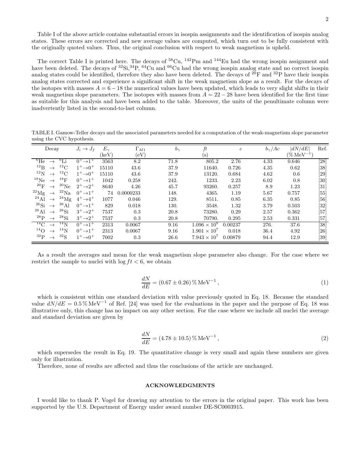Table I of the above article contains substantial errors in isospin assignments and the identification of isospin analog states. These errors are corrected and new average values are computed, which turn out to be fully consistent with the originally quoted values. Thus, the original conclusion with respect to weak magnetism is upheld.

The correct Table I is printed here. The decays of  ${}^{58}Cu$ ,  ${}^{142}Pm$  and  ${}^{144}Eu$  had the wrong isospin assignment and have been deleted. The decays of <sup>32</sup>Si,<sup>34</sup>P, <sup>64</sup>Cu and <sup>66</sup>Cu had the wrong isospin analog state and no correct isospin analog states could be identified, therefore they also have been deleted. The decays of  $^{20}F$  and  $^{32}P$  have their isospin analog states corrected and experience a significant shift in the weak magnetism slope as a result. For the decays of the isotopes with masses  $A = 6 - 18$  the numerical values have been updated, which leads to very slight shifts in their weak magnetism slope parameters. The isotopes with masses from  $A = 22 - 28$  have been identified for the first time as suitable for this analysis and have been added to the table. Moreover, the units of the penultimate column were inadvertently listed in the second-to-last column.

TABLE I. Gamow-Teller decays and the associated parameters needed for a computation of the weak-magnetism slope parameter using the CVC hypothesis.

| Decay                               |                    | $J_i \rightarrow J_f$              | $E_{\gamma}$ | $\Gamma_{M1}$ | $b_{\gamma}$ | ft                    | $\boldsymbol{c}$ | $b_{\gamma}/Ac$ | $\left  dN/dE \right $      | Ref.   |
|-------------------------------------|--------------------|------------------------------------|--------------|---------------|--------------|-----------------------|------------------|-----------------|-----------------------------|--------|
|                                     |                    |                                    | (keV)        | (eV)          |              | $(\rm s)$             |                  |                 | $(\% \, \mathrm{MeV}^{-1})$ |        |
| $^6$ He                             | $^6$ Li            | $0^+\rightarrow 1^+$               | 3563         | 8.2           | 71.8         | 805.2                 | 2.76             | 4.33            | 0.646                       | [28]   |
| $^{12}B$<br>$\rightarrow$           | ${}^{12}$ C        | $1^+ \rightarrow 0^+$              | 15110        | 43.6          | 37.9         | 11640.                | 0.726            | 4.35            | 0.62                        | [38]   |
| $^{12}$ N                           | $^{12}$ C          | $1^+ \rightarrow 0^+$              | 15110        | 43.6          | 37.9         | 13120.                | 0.684            | 4.62            | 0.6                         | [29]   |
| $^{18}Ne$                           | $^{18}$ F          | $0^+\rightarrow 1^+$               | 1042         | 0.258         | 242.         | 1233.                 | 2.23             | 6.02            | 0.8                         | [30]   |
| 20 F<br>$\rightarrow$               | $^{20}{\rm Ne}$    | $2^+\rightarrow 2^+$               | 8640         | 4.26          | 45.7         | 93260.                | 0.257            | 8.9             | 1.23                        | [31]   |
| $^{22}{\rm Mg}$<br>$\rightarrow$    | $^{22}$ Na         | $0^+\rightarrow 1^+$               | 74           | 0.0000233     | 148.         | 4365.                 | 1.19             | 5.67            | 0.757                       | [55]   |
| $^{24}$ Al<br>$\rightarrow$         | $^{24}$ Mg         | $4^+ \rightarrow 4^+$              | 1077         | 0.046         | 129.         | 8511.                 | 0.85             | 6.35            | 0.85                        | [56]   |
| $^{26}\mathrm{Si}$<br>$\rightarrow$ | $^{26}$ Al         | $0^+\rightarrow 1^+$               | 829          | 0.018         | 130.         | 3548.                 | 1.32             | 3.79            | 0.503                       | $[32]$ |
| $^{28}$ Al                          | $^{28}\mathrm{Si}$ | $3^+\rightarrow 2^+$               | 7537         | 0.3           | 20.8         | 73280.                | 0.29             | 2.57            | 0.362                       | $[57]$ |
| $^{28}P$<br>$\rightarrow$           | $^{28}$ Si         | $3^+\rightarrow2^+$                | 7537         | 0.3           | 20.8         | 70790.                | 0.295            | 2.53            | 0.331                       | [57]   |
| $^{14}$ C                           | $^{14}{\rm N}$     | $0^+\rightarrow 1^+$               | 2313         | 0.0067        | 9.16         | $1.096 \times 10^{9}$ | 0.00237          | 276.            | 37.6                        | [38]   |
| $^{14}$ O<br>$\rightarrow$          | $^{14}$ N          | $0^+\rightarrow 1^+$               | 2313         | 0.0067        | 9.16         | $1.901 \times 10^{7}$ | 0.018            | 36.4            | 4.92                        | [26]   |
| $^{32}P$                            | $^{32}{\rm S}$     | $1^+$ $\rightarrow$ 0 <sup>+</sup> | 7002         | 0.3           | 26.6         | $7.943 \times 10^{7}$ | 0.00879          | 94.4            | 12.9                        | $[39]$ |

As a result the averages and mean for the weak magnetism slope parameter also change. For the case where we restrict the sample to nuclei with  $\log ft < 6$ , we obtain

$$
\frac{dN}{dE} = (0.67 \pm 0.26) \,\% \,\text{MeV}^{-1} \,,\tag{1}
$$

which is consistent within one standard deviation with value previously quoted in Eq. 18. Because the standard value  $dN/dE = 0.5\% \text{ MeV}^{-1}$  of Ref. [24] was used for the evaluations in the paper and the purpose of Eq. 18 was illustrative only, this change has no impact on any other section. For the case where we include all nuclei the average and standard deviation are given by

$$
\frac{dN}{dE} = (4.78 \pm 10.5) \,\% \,\text{MeV}^{-1} \,,\tag{2}
$$

which supersedes the result in Eq. 19. The quantitative change is very small and again these numbers are given only for illustration.

Therefore, none of results are affected and thus the conclusions of the article are unchanged.

## ACKNOWLEDGMENTS

I would like to thank P. Vogel for drawing my attention to the errors in the original paper. This work has been supported by the U.S. Department of Energy under award number DE-SC0003915.